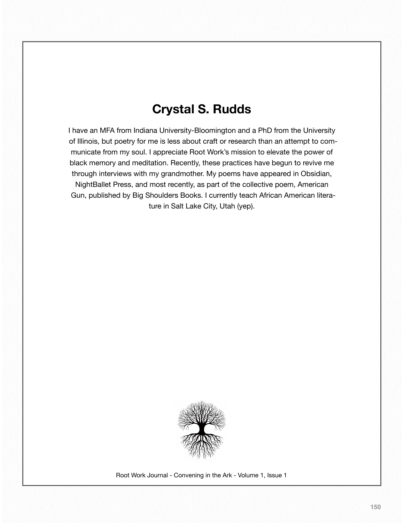## **Crystal S. Rudds**

I have an MFA from Indiana University-Bloomington and a PhD from the University of Illinois, but poetry for me is less about craft or research than an attempt to communicate from my soul. I appreciate Root Work's mission to elevate the power of black memory and meditation. Recently, these practices have begun to revive me through interviews with my grandmother. My poems have appeared in Obsidian, NightBallet Press, and most recently, as part of the collective poem, American Gun, published by Big Shoulders Books. I currently teach African American literature in Salt Lake City, Utah (yep).



Root Work Journal - Convening in the Ark - Volume 1, Issue 1